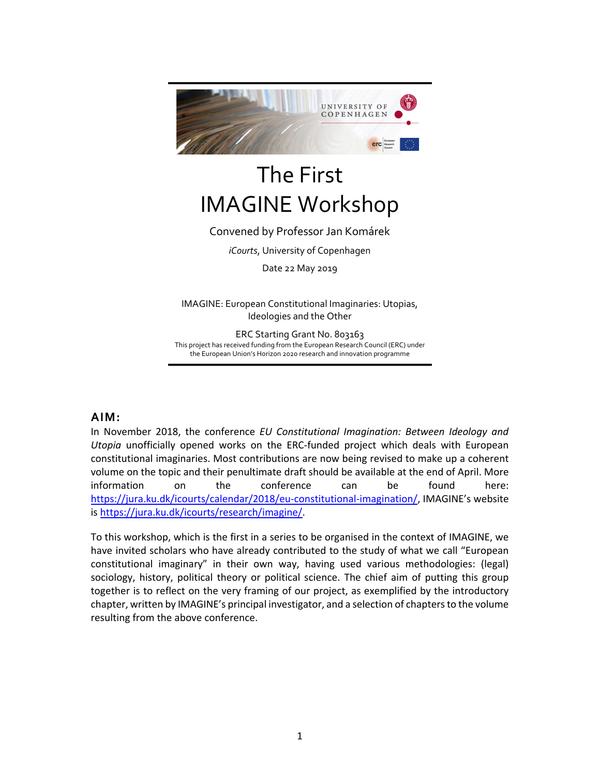

# The First IMAGINE Workshop

## Convened by Professor Jan Komárek

*iCourts*, University of Copenhagen

Date 22 May 2019

IMAGINE: European Constitutional Imaginaries: Utopias, Ideologies and the Other

ERC Starting Grant No. 803163 This project has received funding from the European Research Council (ERC) under the European Union's Horizon 2020 research and innovation programme

## **AIM:**

In November 2018, the conference *EU Constitutional Imagination: Between Ideology and Utopia* unofficially opened works on the ERC‐funded project which deals with European constitutional imaginaries. Most contributions are now being revised to make up a coherent volume on the topic and their penultimate draft should be available at the end of April. More information on the conference can be found here: https://jura.ku.dk/icourts/calendar/2018/eu‐constitutional‐imagination/, IMAGINE's website is https://jura.ku.dk/icourts/research/imagine/.

To this workshop, which is the first in a series to be organised in the context of IMAGINE, we have invited scholars who have already contributed to the study of what we call "European constitutional imaginary" in their own way, having used various methodologies: (legal) sociology, history, political theory or political science. The chief aim of putting this group together is to reflect on the very framing of our project, as exemplified by the introductory chapter, written by IMAGINE's principal investigator, and a selection of chapters to the volume resulting from the above conference.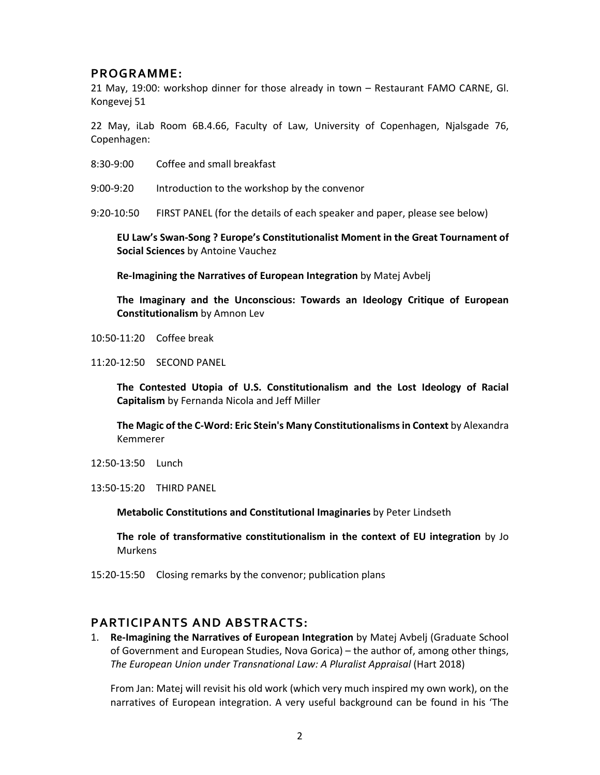## **PROGRAMME:**

21 May, 19:00: workshop dinner for those already in town – Restaurant FAMO CARNE, Gl. Kongevej 51

22 May, iLab Room 6B.4.66, Faculty of Law, University of Copenhagen, Njalsgade 76, Copenhagen:

- 8:30‐9:00 Coffee and small breakfast
- 9:00‐9:20 Introduction to the workshop by the convenor

9:20‐10:50 FIRST PANEL (for the details of each speaker and paper, please see below)

**EU Law's Swan‐Song ? Europe's Constitutionalist Moment in the Great Tournament of Social Sciences** by Antoine Vauchez

**Re‐Imagining the Narratives of European Integration** by Matej Avbelj

**The Imaginary and the Unconscious: Towards an Ideology Critique of European Constitutionalism** by Amnon Lev

10:50‐11:20 Coffee break

11:20‐12:50 SECOND PANEL

**The Contested Utopia of U.S. Constitutionalism and the Lost Ideology of Racial Capitalism** by Fernanda Nicola and Jeff Miller

**The Magic of the C‐Word: Eric Stein's Many Constitutionalisms in Context** by Alexandra Kemmerer

12:50‐13:50 Lunch

13:50‐15:20 THIRD PANEL

**Metabolic Constitutions and Constitutional Imaginaries** by Peter Lindseth

**The role of transformative constitutionalism in the context of EU integration** by Jo Murkens

15:20‐15:50 Closing remarks by the convenor; publication plans

#### **PARTICIPANTS AND ABSTRACTS:**

1. **Re‐Imagining the Narratives of European Integration** by Matej Avbelj (Graduate School of Government and European Studies, Nova Gorica) – the author of, among other things, *The European Union under Transnational Law: A Pluralist Appraisal* (Hart 2018)

From Jan: Matej will revisit his old work (which very much inspired my own work), on the narratives of European integration. A very useful background can be found in his 'The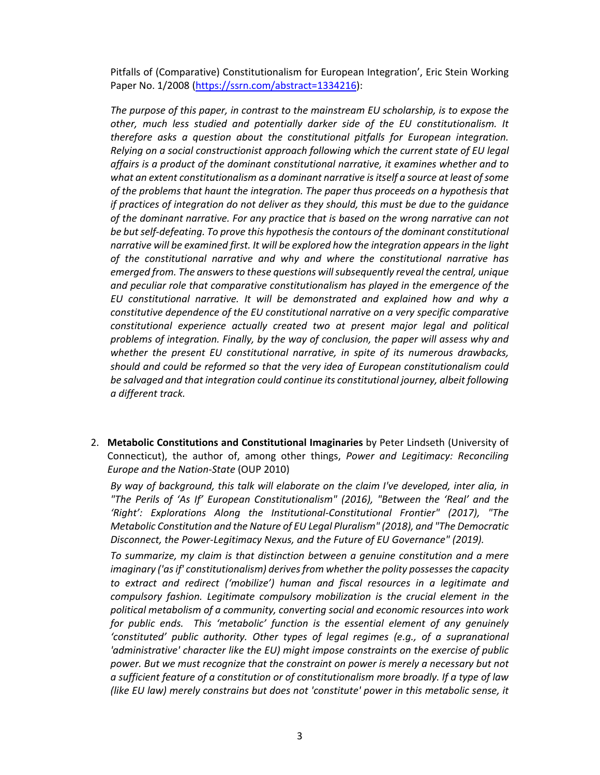Pitfalls of (Comparative) Constitutionalism for European Integration', Eric Stein Working Paper No. 1/2008 (https://ssrn.com/abstract=1334216):

*The purpose of this paper, in contrast to the mainstream EU scholarship, is to expose the other, much less studied and potentially darker side of the EU constitutionalism. It therefore asks a question about the constitutional pitfalls for European integration. Relying on a social constructionist approach following which the current state of EU legal affairs is a product of the dominant constitutional narrative, it examines whether and to what an extent constitutionalism as a dominant narrative is itself a source at least of some of the problems that haunt the integration. The paper thus proceeds on a hypothesis that if practices of integration do not deliver as they should, this must be due to the guidance of the dominant narrative. For any practice that is based on the wrong narrative can not be but self‐defeating. To prove this hypothesis the contours of the dominant constitutional narrative will be examined first. It will be explored how the integration appears in the light of the constitutional narrative and why and where the constitutional narrative has emerged from. The answers to these questions will subsequently reveal the central, unique and peculiar role that comparative constitutionalism has played in the emergence of the EU constitutional narrative. It will be demonstrated and explained how and why a constitutive dependence of the EU constitutional narrative on a very specific comparative constitutional experience actually created two at present major legal and political problems of integration. Finally, by the way of conclusion, the paper will assess why and whether the present EU constitutional narrative, in spite of its numerous drawbacks, should and could be reformed so that the very idea of European constitutionalism could be salvaged and that integration could continue its constitutional journey, albeit following a different track.* 

2. **Metabolic Constitutions and Constitutional Imaginaries** by Peter Lindseth (University of Connecticut), the author of, among other things, *Power and Legitimacy: Reconciling Europe and the Nation‐State* (OUP 2010)

*By way of background, this talk will elaborate on the claim I've developed, inter alia, in "The Perils of 'As If' European Constitutionalism" (2016), "Between the 'Real' and the 'Right': Explorations Along the Institutional‐Constitutional Frontier" (2017), "The Metabolic Constitution and the Nature of EU Legal Pluralism" (2018), and "The Democratic Disconnect, the Power‐Legitimacy Nexus, and the Future of EU Governance" (2019).* 

*To summarize, my claim is that distinction between a genuine constitution and a mere imaginary ('as if' constitutionalism) derives from whether the polity possesses the capacity to extract and redirect ('mobilize') human and fiscal resources in a legitimate and compulsory fashion. Legitimate compulsory mobilization is the crucial element in the political metabolism of a community, converting social and economic resources into work for public ends. This 'metabolic' function is the essential element of any genuinely 'constituted' public authority. Other types of legal regimes (e.g., of a supranational 'administrative' character like the EU) might impose constraints on the exercise of public power. But we must recognize that the constraint on power is merely a necessary but not a sufficient feature of a constitution or of constitutionalism more broadly. If a type of law (like EU law) merely constrains but does not 'constitute' power in this metabolic sense, it*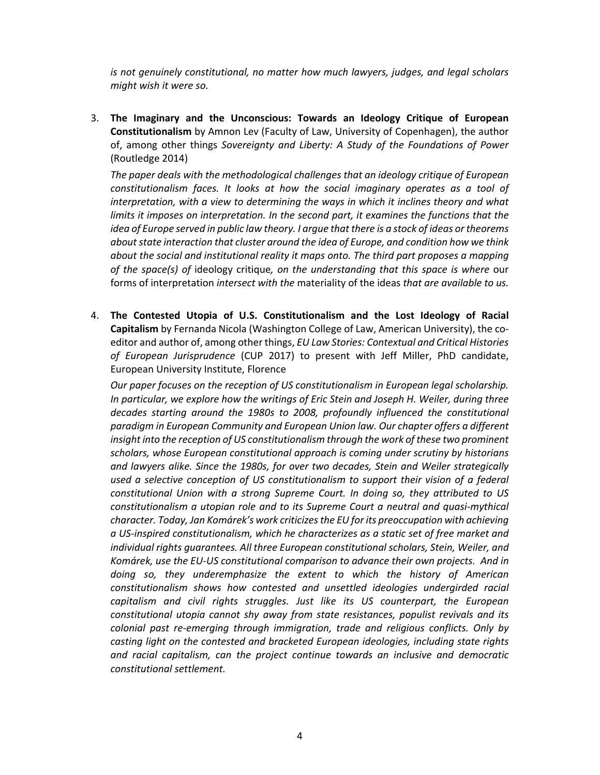*is not genuinely constitutional, no matter how much lawyers, judges, and legal scholars might wish it were so.* 

3. **The Imaginary and the Unconscious: Towards an Ideology Critique of European Constitutionalism** by Amnon Lev (Faculty of Law, University of Copenhagen), the author of, among other things *Sovereignty and Liberty: A Study of the Foundations of Power* (Routledge 2014)

*The paper deals with the methodological challenges that an ideology critique of European constitutionalism faces. It looks at how the social imaginary operates as a tool of interpretation, with a view to determining the ways in which it inclines theory and what limits it imposes on interpretation. In the second part, it examines the functions that the idea of Europe served in public law theory. I argue that there is a stock of ideas or theorems about state interaction that cluster around the idea of Europe, and condition how we think about the social and institutional reality it maps onto. The third part proposes a mapping of the space(s) of* ideology critique*, on the understanding that this space is where* our forms of interpretation *intersect with the* materiality of the ideas *that are available to us.* 

4. **The Contested Utopia of U.S. Constitutionalism and the Lost Ideology of Racial Capitalism** by Fernanda Nicola (Washington College of Law, American University), the co‐ editor and author of, among other things, *EU Law Stories: Contextual and Critical Histories of European Jurisprudence* (CUP 2017) to present with Jeff Miller, PhD candidate, European University Institute, Florence

*Our paper focuses on the reception of US constitutionalism in European legal scholarship. In particular, we explore how the writings of Eric Stein and Joseph H. Weiler, during three decades starting around the 1980s to 2008, profoundly influenced the constitutional paradigm in European Community and European Union law. Our chapter offers a different insight into the reception of US constitutionalism through the work of these two prominent scholars, whose European constitutional approach is coming under scrutiny by historians and lawyers alike. Since the 1980s, for over two decades, Stein and Weiler strategically used a selective conception of US constitutionalism to support their vision of a federal constitutional Union with a strong Supreme Court. In doing so, they attributed to US constitutionalism a utopian role and to its Supreme Court a neutral and quasi‐mythical character. Today, Jan Komárek's work criticizes the EU for its preoccupation with achieving a US‐inspired constitutionalism, which he characterizes as a static set of free market and individual rights guarantees. All three European constitutional scholars, Stein, Weiler, and Komárek, use the EU‐US constitutional comparison to advance their own projects. And in doing so, they underemphasize the extent to which the history of American constitutionalism shows how contested and unsettled ideologies undergirded racial capitalism and civil rights struggles. Just like its US counterpart, the European constitutional utopia cannot shy away from state resistances, populist revivals and its colonial past re‐emerging through immigration, trade and religious conflicts. Only by casting light on the contested and bracketed European ideologies, including state rights and racial capitalism, can the project continue towards an inclusive and democratic constitutional settlement.*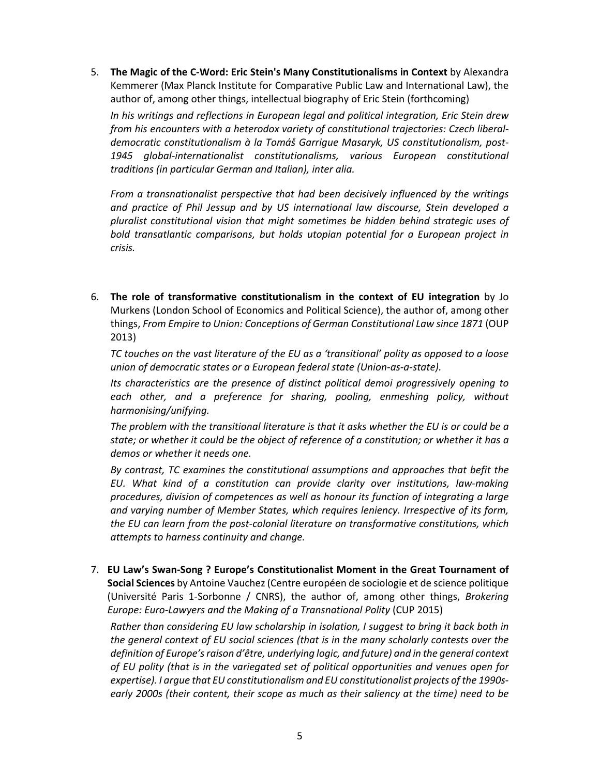5. **The Magic of the C‐Word: Eric Stein's Many Constitutionalisms in Context** by Alexandra Kemmerer (Max Planck Institute for Comparative Public Law and International Law), the author of, among other things, intellectual biography of Eric Stein (forthcoming)

*In his writings and reflections in European legal and political integration, Eric Stein drew from his encounters with a heterodox variety of constitutional trajectories: Czech liberal‐ democratic constitutionalism à la Tomáš Garrigue Masaryk, US constitutionalism, post‐ 1945 global‐internationalist constitutionalisms, various European constitutional traditions (in particular German and Italian), inter alia.* 

*From a transnationalist perspective that had been decisively influenced by the writings and practice of Phil Jessup and by US international law discourse, Stein developed a pluralist constitutional vision that might sometimes be hidden behind strategic uses of bold transatlantic comparisons, but holds utopian potential for a European project in crisis.* 

6. **The role of transformative constitutionalism in the context of EU integration** by Jo Murkens (London School of Economics and Political Science), the author of, among other things, *From Empire to Union: Conceptions of German Constitutional Law since 1871* (OUP 2013)

*TC touches on the vast literature of the EU as a 'transitional' polity as opposed to a loose union of democratic states or a European federal state (Union‐as‐a‐state).* 

*Its characteristics are the presence of distinct political demoi progressively opening to each other, and a preference for sharing, pooling, enmeshing policy, without harmonising/unifying.* 

*The problem with the transitional literature is that it asks whether the EU is or could be a state; or whether it could be the object of reference of a constitution; or whether it has a demos or whether it needs one.* 

*By contrast, TC examines the constitutional assumptions and approaches that befit the EU. What kind of a constitution can provide clarity over institutions, law‐making procedures, division of competences as well as honour its function of integrating a large and varying number of Member States, which requires leniency. Irrespective of its form, the EU can learn from the post‐colonial literature on transformative constitutions, which attempts to harness continuity and change.* 

7. **EU Law's Swan‐Song ? Europe's Constitutionalist Moment in the Great Tournament of Social Sciences** by Antoine Vauchez (Centre européen de sociologie et de science politique (Université Paris 1‐Sorbonne / CNRS), the author of, among other things, *Brokering Europe: Euro‐Lawyers and the Making of a Transnational Polity* (CUP 2015)

*Rather than considering EU law scholarship in isolation, I suggest to bring it back both in the general context of EU social sciences (that is in the many scholarly contests over the definition of Europe's raison d'être, underlying logic, and future) and in the general context of EU polity (that is in the variegated set of political opportunities and venues open for expertise). I argue that EU constitutionalism and EU constitutionalist projects of the 1990s‐ early 2000s (their content, their scope as much as their saliency at the time) need to be*